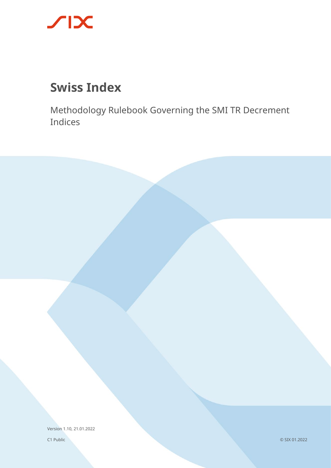

# **Swiss Index**

Methodology Rulebook Governing the SMI TR Decrement Indices

Version 1.10, 21.01.2022

C1 Public

© SIX 01.2022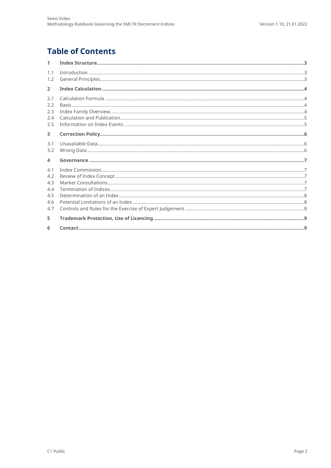# **Table of Contents**

| $\mathbf{1}$                                  |  |
|-----------------------------------------------|--|
| 1.1<br>1.2                                    |  |
| $\overline{2}$                                |  |
| 2.1<br>2.2<br>2.3<br>2.4<br>2.5               |  |
| 3                                             |  |
| 3.1<br>3.2                                    |  |
| $\overline{4}$                                |  |
| 4.1<br>4.2<br>4.3<br>4.4<br>4.5<br>4.6<br>4.7 |  |
| 5                                             |  |
| 6                                             |  |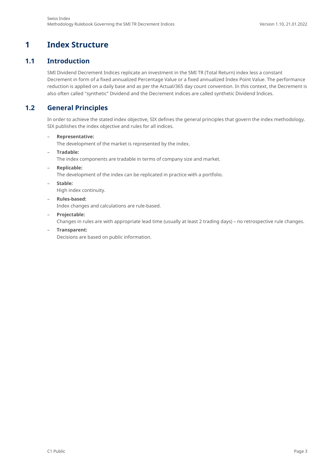# <span id="page-2-0"></span>**1 Index Structure**

#### **1.1 Introduction**

<span id="page-2-1"></span>SMI Dividend Decrement Indices replicate an investment in the SMI TR (Total Return) index less a constant Decrement in form of a fixed annualized Percentage Value or a fixed annualized Index Point Value. The performance reduction is applied on a daily base and as per the Actual/365 day count convention. In this context, the Decrement is also often called "synthetic" Dividend and the Decrement indices are called synthetic Dividend Indices.

## **1.2 General Principles**

<span id="page-2-2"></span>In order to achieve the stated index objective, SIX defines the general principles that govern the index methodology. SIX publishes the index objective and rules for all indices.

– **Representative:**

The development of the market is represented by the index.

– **Tradable:**

The index components are tradable in terms of company size and market.

– **Replicable:**

The development of the index can be replicated in practice with a portfolio.

– **Stable:**

High index continuity.

– **Rules-based:**

Index changes and calculations are rule-based.

– **Projectable:**

Changes in rules are with appropriate lead time (usually at least 2 trading days) – no retrospective rule changes.

– **Transparent:** 

Decisions are based on public information.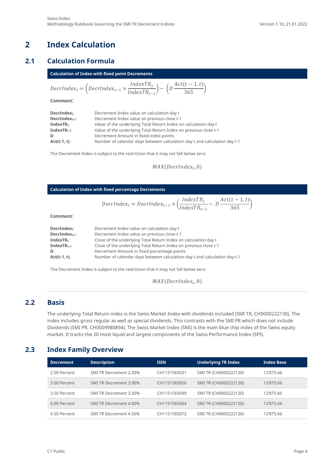## <span id="page-3-0"></span>**2 Index Calculation**

#### **2.1 Calculation Formula**

<span id="page-3-1"></span>

| <b>Calculation of Index with fixed point Decrements</b> |                                                                                                                                                                                       |  |  |
|---------------------------------------------------------|---------------------------------------------------------------------------------------------------------------------------------------------------------------------------------------|--|--|
|                                                         | $\textit{DecrIndex}_{t} = \left(\textit{DecrIndex}_{t-1} \times \frac{\textit{IndexTR}_{t}}{\textit{IndexTR}_{t-1}}\right) - \left(\textit{D} \frac{\textit{Act}(t-1,t)}{365}\right)$ |  |  |

**Comment**:

| $DecrIndex_t$ :   | Decrement Index value on calculation day t                                |
|-------------------|---------------------------------------------------------------------------|
| DecrIndext-1:     | Decrement Index value on previous close t-1                               |
| $IndexTR_t$ :     | Value of the underlying Total Return Index on calculation day t           |
| $IndexTR_{t-1}$ : | Value of the underlying Total Return Index on previous close t-1          |
| D:                | Decrement Amount in fixed index points                                    |
| $Act(t-1, t):$    | Number of calendar days between calculation day t and calculation day t-1 |

The Decrement Index is subject to the restriction that it may not fall below zero:

 $MAX(DerIndex_t, 0)$ 

| <b>Calculation of Index with fixed percentage Decrements</b>                                                    |                                                                                                                                                                                                                                                                                                                                                              |  |  |  |
|-----------------------------------------------------------------------------------------------------------------|--------------------------------------------------------------------------------------------------------------------------------------------------------------------------------------------------------------------------------------------------------------------------------------------------------------------------------------------------------------|--|--|--|
|                                                                                                                 | $\text{DecrIndex}_{t} = \text{DecrIndex}_{t-1} \times \left( \frac{\text{IndexTR}_{t}}{\text{IndexTR}_{t-1}} - D \frac{\text{Act}(t-1,t)}{365} \right)$                                                                                                                                                                                                      |  |  |  |
| Comment:                                                                                                        |                                                                                                                                                                                                                                                                                                                                                              |  |  |  |
| DecrIndex <sub>t</sub> :<br>$DecrIndex_{t-1}$ :<br>Index $TR_t$ :<br>Index $TR_{t-1}$ :<br>D:<br>$Act(t-1, t):$ | Decrement Index value on calculation day t<br>Decrement Index value on previous close t-1<br>Close of the underlying Total Return Index on calculation day t<br>Close of the underlying Total Return Index on previous close t-1<br>Decrement Amount in fixed percentage points<br>Number of calendar days between calculation day t and calculation day t-1 |  |  |  |
| The Decrement Index is subject to the restriction that it may not fall below zero:                              |                                                                                                                                                                                                                                                                                                                                                              |  |  |  |

 $MAX(DecrIndex_t, 0)$ 

#### **2.2 Basis**

<span id="page-3-2"></span>The underlying Total Return index is the Swiss Market Index with dividends included (SMI TR, CH0000222130). The index includes gross regular as well as special dividends. This contrasts with the SMI PR which does not include Dividends (SMI PR, CH0009980894). The Swiss Market Index (SMI) is the main blue chip index of the Swiss equity market. It tracks the 20 most liquid and largest components of the Swiss Performance Index (SPI).

#### **2.3 Index Family Overview**

<span id="page-3-3"></span>

| <b>Decrement</b> | <b>Description</b>     | <b>ISIN</b>  | <b>Underlying TR Index</b> | <b>Index Base</b> |
|------------------|------------------------|--------------|----------------------------|-------------------|
| 2.50 Percent     | SMI TR Decrement 2.50% | CH1151583031 | SMI TR (CH0000222130)      | 12'875.66         |
| 3.00 Percent     | SMI TR Decrement 3.00% | CH1151583056 | SMI TR (CH0000222130)      | 12'875.66         |
| 3.50 Percent     | SMI TR Decrement 3.50% | CH1151583049 | SMI TR (CH0000222130)      | 12'875.66         |
| 4.00 Percent     | SMI TR Decrement 4.00% | CH1151583064 | SMI TR (CH0000222130)      | 12'875.66         |
| 4.50 Percent     | SMI TR Decrement 4.50% | CH1151583072 | SMI TR (CH0000222130)      | 12'875.66         |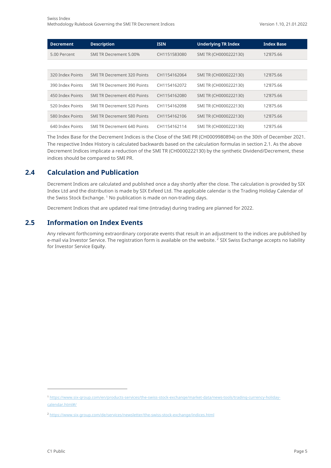| <b>Decrement</b> | <b>Description</b>                 | <b>ISIN</b>  | <b>Underlying TR Index</b> | <b>Index Base</b> |
|------------------|------------------------------------|--------------|----------------------------|-------------------|
| 5.00 Percent     | SMI TR Decrement 5,00%             | CH1151583080 | SMI TR (CH0000222130)      | 12'875.66         |
|                  |                                    |              |                            |                   |
| 320 Index Points | <b>SMI TR Decrement 320 Points</b> | CH1154162064 | SMI TR (CH0000222130)      | 12'875.66         |
| 390 Index Points | <b>SMI TR Decrement 390 Points</b> | CH1154162072 | SMI TR (CH0000222130)      | 12'875.66         |
| 450 Index Points | <b>SMI TR Decrement 450 Points</b> | CH1154162080 | SMI TR (CH0000222130)      | 12'875.66         |
| 520 Index Points | <b>SMI TR Decrement 520 Points</b> | CH1154162098 | SMI TR (CH0000222130)      | 12'875.66         |
| 580 Index Points | <b>SMI TR Decrement 580 Points</b> | CH1154162106 | SMI TR (CH0000222130)      | 12'875.66         |
| 640 Index Points | <b>SMI TR Decrement 640 Points</b> | CH1154162114 | SMI TR (CH0000222130)      | 12'875.66         |

The Index Base for the Decrement Indices is the Close of the SMI PR (CH0009980894) on the 30th of December 2021. The respective Index History is calculated backwards based on the calculation formulas in section [2.1.](#page-3-1) As the above Decrement Indices implicate a reduction of the SMI TR (CH0000222130) by the synthetic Dividend/Decrement, these indices should be compared to SMI PR.

#### **2.4 Calculation and Publication**

<span id="page-4-0"></span>Decrement Indices are calculated and published once a day shortly after the close. The calculation is provided by SIX Index Ltd and the distribution is made by SIX Exfeed Ltd. The applicable calendar is the Trading Holiday Calendar of the Swiss Stock Exchange.<sup>[1](#page-4-2)</sup> No publication is made on non-trading days.

<span id="page-4-1"></span>Decrement Indices that are updated real time (intraday) during trading are planned for 2022.

#### **2.5 Information on Index Events**

Any relevant forthcoming extraordinary corporate events that result in an adjustment to the indices are published by e-mail via Investor Service. The registration form is available on the website. <sup>[2](#page-4-3)</sup> SIX Swiss Exchange accepts no liability for Investor Service Equity.

<span id="page-4-2"></span><sup>1</sup> [https://www.six-group.com/en/products-services/the-swiss-stock-exchange/market-data/news-tools/trading-currency-holiday](https://www.six-group.com/en/products-services/the-swiss-stock-exchange/market-data/news-tools/trading-currency-holiday-calendar.html#/)[calendar.html#/](https://www.six-group.com/en/products-services/the-swiss-stock-exchange/market-data/news-tools/trading-currency-holiday-calendar.html#/)

<span id="page-4-3"></span><sup>&</sup>lt;sup>2</sup> <https://www.six-group.com/de/services/newsletter/the-swiss-stock-exchange/indices.html>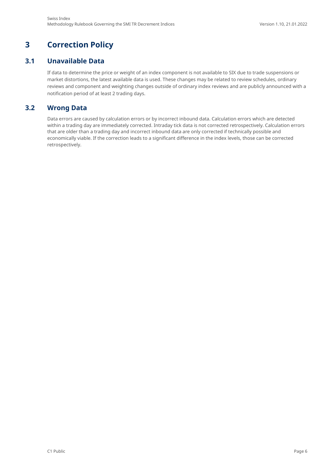## <span id="page-5-0"></span>**3 Correction Policy**

#### **3.1 Unavailable Data**

<span id="page-5-1"></span>If data to determine the price or weight of an index component is not available to SIX due to trade suspensions or market distortions, the latest available data is used. These changes may be related to review schedules, ordinary reviews and component and weighting changes outside of ordinary index reviews and are publicly announced with a notification period of at least 2 trading days.

#### **3.2 Wrong Data**

<span id="page-5-2"></span>Data errors are caused by calculation errors or by incorrect inbound data. Calculation errors which are detected within a trading day are immediately corrected. Intraday tick data is not corrected retrospectively. Calculation errors that are older than a trading day and incorrect inbound data are only corrected if technically possible and economically viable. If the correction leads to a significant difference in the index levels, those can be corrected retrospectively.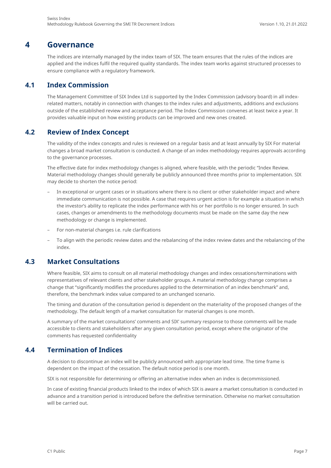## **4 Governance**

<span id="page-6-0"></span>The indices are internally managed by the index team of SIX. The team ensures that the rules of the indices are applied and the indices fulfil the required quality standards. The index team works against structured processes to ensure compliance with a regulatory framework.

#### **4.1 Index Commission**

<span id="page-6-1"></span>The Management Committee of SIX Index Ltd is supported by the Index Commission (advisory board) in all indexrelated matters, notably in connection with changes to the index rules and adjustments, additions and exclusions outside of the established review and acceptance period. The Index Commission convenes at least twice a year. It provides valuable input on how existing products can be improved and new ones created.

#### **4.2 Review of Index Concept**

<span id="page-6-2"></span>The validity of the index concepts and rules is reviewed on a regular basis and at least annually by SIX For material changes a broad market consultation is conducted. A change of an index methodology requires approvals according to the governance processes.

The effective date for index methodology changes is aligned, where feasible, with the periodic "Index Review. Material methodology changes should generally be publicly announced three months prior to implementation. SIX may decide to shorten the notice period:

- In exceptional or urgent cases or in situations where there is no client or other stakeholder impact and where immediate communication is not possible. A case that requires urgent action is for example a situation in which the investor's ability to replicate the index performance with his or her portfolio is no longer ensured. In such cases, changes or amendments to the methodology documents must be made on the same day the new methodology or change is implemented.
- For non-material changes i.e. rule clarifications
- To align with the periodic review dates and the rebalancing of the index review dates and the rebalancing of the index.

#### **4.3 Market Consultations**

<span id="page-6-3"></span>Where feasible, SIX aims to consult on all material methodology changes and index cessations/terminations with representatives of relevant clients and other stakeholder groups. A material methodology change comprises a change that "significantly modifies the procedures applied to the determination of an index benchmark" and, therefore, the benchmark index value compared to an unchanged scenario.

The timing and duration of the consultation period is dependent on the materiality of the proposed changes of the methodology. The default length of a market consultation for material changes is one month.

A summary of the market consultations' comments and SIX' summary response to those comments will be made accessible to clients and stakeholders after any given consultation period, except where the originator of the comments has requested confidentiality

#### **4.4 Termination of Indices**

<span id="page-6-4"></span>A decision to discontinue an index will be publicly announced with appropriate lead time. The time frame is dependent on the impact of the cessation. The default notice period is one month.

SIX is not responsible for determining or offering an alternative index when an index is decommissioned.

In case of existing financial products linked to the index of which SIX is aware a market consultation is conducted in advance and a transition period is introduced before the definitive termination. Otherwise no market consultation will be carried out.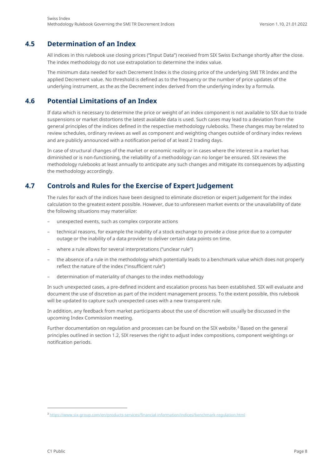#### **4.5 Determination of an Index**

<span id="page-7-0"></span>All indices in this rulebook use closing prices ("Input Data") received from SIX Swiss Exchange shortly after the close. The index methodology do not use extrapolation to determine the index value.

The minimum data needed for each Decrement Index is the closing price of the underlying SMI TR Index and the applied Decrement value. No threshold is defined as to the frequency or the number of price updates of the underlying instrument, as the as the Decrement index derived from the underlying index by a formula.

#### **4.6 Potential Limitations of an Index**

<span id="page-7-1"></span>If data which is necessary to determine the price or weight of an index component is not available to SIX due to trade suspensions or market distortions the latest available data is used. Such cases may lead to a deviation from the general principles of the indices defined in the respective methodology rulebooks. These changes may be related to review schedules, ordinary reviews as well as component and weighting changes outside of ordinary index reviews and are publicly announced with a notification period of at least 2 trading days.

In case of structural changes of the market or economic reality or in cases where the interest in a market has diminished or is non-functioning, the reliability of a methodology can no longer be ensured. SIX reviews the methodology rulebooks at least annually to anticipate any such changes and mitigate its consequences by adjusting the methodology accordingly.

#### **4.7 Controls and Rules for the Exercise of Expert Judgement**

<span id="page-7-2"></span>The rules for each of the indices have been designed to eliminate discretion or expert judgement for the index calculation to the greatest extent possible. However, due to unforeseen market events or the unavailability of date the following situations may materialize:

- unexpected events, such as complex corporate actions
- technical reasons, for example the inability of a stock exchange to provide a close price due to a computer outage or the inability of a data provider to deliver certain data points on time.
- where a rule allows for several interpretations ("unclear rule")
- the absence of a rule in the methodology which potentially leads to a benchmark value which does not properly reflect the nature of the index ("insufficient rule")
- determination of materiality of changes to the index methodology

In such unexpected cases, a pre-defined incident and escalation process has been established. SIX will evaluate and document the use of discretion as part of the incident management process. To the extent possible, this rulebook will be updated to capture such unexpected cases with a new transparent rule.

In addition, any feedback from market participants about the use of discretion will usually be discussed in the upcoming Index Commission meeting.

Further documentation on regulation and processes can be found on the SIX website.<sup>[3](#page-7-3)</sup> Based on the general principles outlined in section [1.2,](#page-2-2) SIX reserves the right to adjust index compositions, component weightings or notification periods.

<span id="page-7-3"></span><sup>3</sup> <https://www.six-group.com/en/products-services/financial-information/indices/benchmark-regulation.html>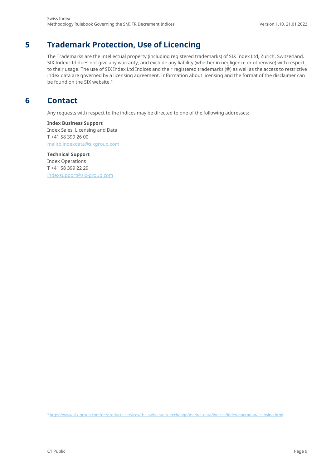## **5 Trademark Protection, Use of Licencing**

<span id="page-8-0"></span>The Trademarks are the intellectual property (including registered trademarks) of SIX Index Ltd, Zurich, Switzerland. SIX Index Ltd does not give any warranty, and exclude any liability (whether in negligence or otherwise) with respect to their usage. The use of SIX Index Ltd Indices and their registered trademarks (®) as well as the access to restrictive index data are governed by a licensing agreement. Information about licensing and the format of the disclaimer can be found on the SIX website.<sup>[4](#page-8-2)</sup>

## <span id="page-8-1"></span>**6 Contact**

Any requests with respect to the indices may be directed to one of the following addresses:

**Index Business Support**  Index Sales, Licensing and Data T +41 58 399 26 00 [mailto:i](mailto:)[ndexdata@sixgroup.com](mailto:indexdata@sixgroup.com)

**Technical Support**  Index Operations T +41 58 399 22 29 [indexsupport@six-group.com](mailto:indexsupport@six-group.com)

<span id="page-8-2"></span><sup>4</sup> <https://www.six-group.com/de/products-services/the-swiss-stock-exchange/market-data/indices/index-operation/licensing.html>